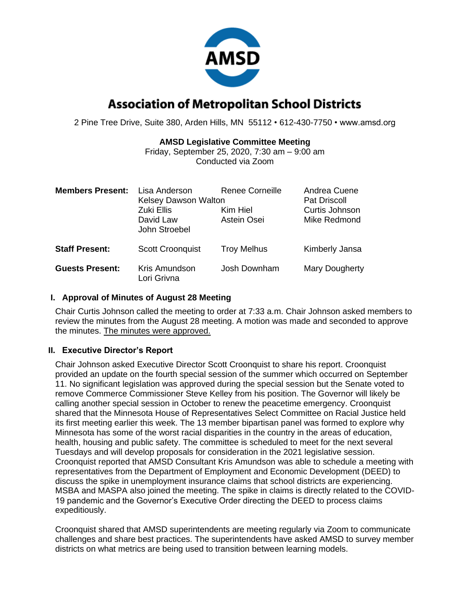

# **Association of Metropolitan School Districts**

2 Pine Tree Drive, Suite 380, Arden Hills, MN 55112 • 612-430-7750 • www.amsd.org

### **AMSD Legislative Committee Meeting**

Friday, September 25, 2020, 7:30 am – 9:00 am Conducted via Zoom

| <b>Members Present:</b> | Lisa Anderson<br><b>Kelsey Dawson Walton</b><br><b>Zuki Ellis</b><br>David Law<br>John Stroebel | Renee Corneille<br>Kim Hiel<br>Astein Osei | Andrea Cuene<br><b>Pat Driscoll</b><br>Curtis Johnson<br>Mike Redmond |
|-------------------------|-------------------------------------------------------------------------------------------------|--------------------------------------------|-----------------------------------------------------------------------|
| <b>Staff Present:</b>   | <b>Scott Croonquist</b>                                                                         | <b>Troy Melhus</b>                         | Kimberly Jansa                                                        |
| <b>Guests Present:</b>  | Kris Amundson<br>Lori Grivna                                                                    | Josh Downham                               | Mary Dougherty                                                        |

### **I. Approval of Minutes of August 28 Meeting**

Chair Curtis Johnson called the meeting to order at 7:33 a.m. Chair Johnson asked members to review the minutes from the August 28 meeting. A motion was made and seconded to approve the minutes. The minutes were approved.

### **II. Executive Director's Report**

Chair Johnson asked Executive Director Scott Croonquist to share his report. Croonquist provided an update on the fourth special session of the summer which occurred on September 11. No significant legislation was approved during the special session but the Senate voted to remove Commerce Commissioner Steve Kelley from his position. The Governor will likely be calling another special session in October to renew the peacetime emergency. Croonquist shared that the Minnesota House of Representatives Select Committee on Racial Justice held its first meeting earlier this week. The 13 member bipartisan panel was formed to explore why Minnesota has some of the worst racial disparities in the country in the areas of education, health, housing and public safety. The committee is scheduled to meet for the next several Tuesdays and will develop proposals for consideration in the 2021 legislative session. Croonquist reported that AMSD Consultant Kris Amundson was able to schedule a meeting with representatives from the Department of Employment and Economic Development (DEED) to discuss the spike in unemployment insurance claims that school districts are experiencing. MSBA and MASPA also joined the meeting. The spike in claims is directly related to the COVID-19 pandemic and the Governor's Executive Order directing the DEED to process claims expeditiously.

Croonquist shared that AMSD superintendents are meeting regularly via Zoom to communicate challenges and share best practices. The superintendents have asked AMSD to survey member districts on what metrics are being used to transition between learning models.